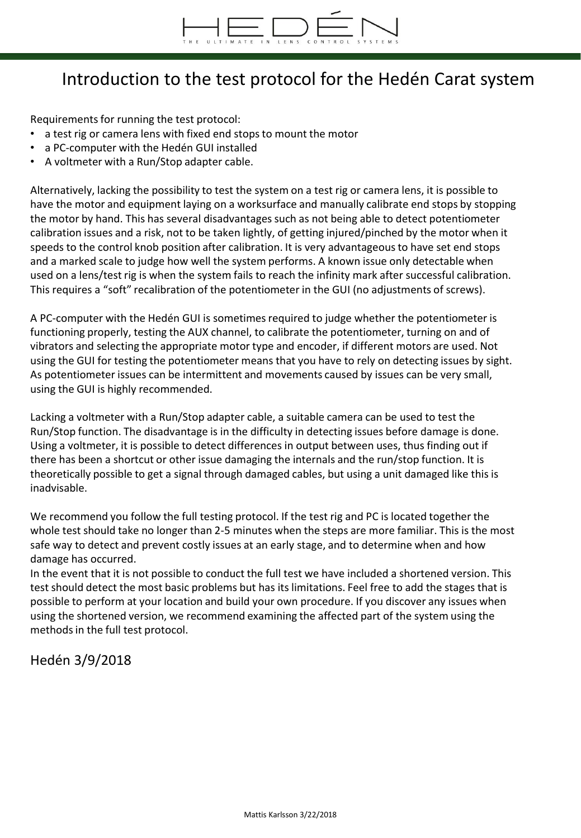

## Introduction to the test protocol for the Hedén Carat system

Requirements for running the test protocol:

- a test rig or camera lens with fixed end stops to mount the motor
- a PC-computer with the Hedén GUI installed
- A voltmeter with a Run/Stop adapter cable.

Alternatively, lacking the possibility to test the system on a test rig or camera lens, it is possible to have the motor and equipment laying on a worksurface and manually calibrate end stops by stopping the motor by hand. This has several disadvantages such as not being able to detect potentiometer calibration issues and a risk, not to be taken lightly, of getting injured/pinched by the motor when it speeds to the control knob position after calibration. It is very advantageous to have set end stops and a marked scale to judge how well the system performs. A known issue only detectable when used on a lens/test rig is when the system fails to reach the infinity mark after successful calibration. This requires a "soft" recalibration of the potentiometer in the GUI (no adjustments of screws).

A PC-computer with the Hedén GUI is sometimes required to judge whether the potentiometer is functioning properly, testing the AUX channel, to calibrate the potentiometer, turning on and of vibrators and selecting the appropriate motor type and encoder, if different motors are used. Not using the GUI for testing the potentiometer means that you have to rely on detecting issues by sight. As potentiometer issues can be intermittent and movements caused by issues can be very small, using the GUI is highly recommended.

Lacking a voltmeter with a Run/Stop adapter cable, a suitable camera can be used to test the Run/Stop function. The disadvantage is in the difficulty in detecting issues before damage is done. Using a voltmeter, it is possible to detect differences in output between uses, thus finding out if there has been a shortcut or other issue damaging the internals and the run/stop function. It is theoretically possible to get a signal through damaged cables, but using a unit damaged like this is inadvisable.

We recommend you follow the full testing protocol. If the test rig and PC is located together the whole test should take no longer than 2-5 minutes when the steps are more familiar. This is the most safe way to detect and prevent costly issues at an early stage, and to determine when and how damage has occurred.

In the event that it is not possible to conduct the full test we have included a shortened version. This test should detect the most basic problems but has its limitations. Feel free to add the stages that is possible to perform at your location and build your own procedure. If you discover any issues when using the shortened version, we recommend examining the affected part of the system using the methods in the full test protocol.

Hedén 3/9/2018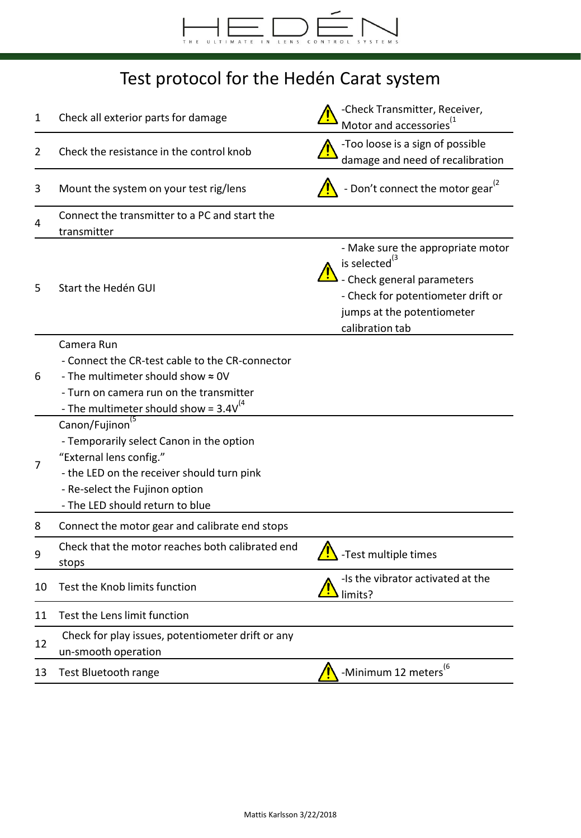

## Test protocol for the Hedén Carat system

| 1  | Check all exterior parts for damage                                      | -Check Transmitter, Receiver,<br>Motor and accessories <sup>"</sup>                                                                                                                 |
|----|--------------------------------------------------------------------------|-------------------------------------------------------------------------------------------------------------------------------------------------------------------------------------|
| 2  | Check the resistance in the control knob                                 | -Too loose is a sign of possible<br>damage and need of recalibration                                                                                                                |
| 3  | Mount the system on your test rig/lens                                   | - Don't connect the motor gear <sup>(2</sup>                                                                                                                                        |
| 4  | Connect the transmitter to a PC and start the<br>transmitter             |                                                                                                                                                                                     |
| 5  | Start the Hedén GUI                                                      | - Make sure the appropriate motor<br>is selected <sup>(3</sup><br>- Check general parameters<br>- Check for potentiometer drift or<br>jumps at the potentiometer<br>calibration tab |
|    | Camera Run<br>- Connect the CR-test cable to the CR-connector            |                                                                                                                                                                                     |
| 6  | - The multimeter should show $\approx$ 0V                                |                                                                                                                                                                                     |
|    | - Turn on camera run on the transmitter                                  |                                                                                                                                                                                     |
|    | - The multimeter should show = $3.4V^{(4)}$                              |                                                                                                                                                                                     |
|    | Canon/Fujinon                                                            |                                                                                                                                                                                     |
|    | - Temporarily select Canon in the option                                 |                                                                                                                                                                                     |
| 7  | "External lens config."                                                  |                                                                                                                                                                                     |
|    | - the LED on the receiver should turn pink                               |                                                                                                                                                                                     |
|    | - Re-select the Fujinon option                                           |                                                                                                                                                                                     |
|    | - The LED should return to blue                                          |                                                                                                                                                                                     |
| 8  | Connect the motor gear and calibrate end stops                           |                                                                                                                                                                                     |
| 9  | Check that the motor reaches both calibrated end<br>stops                | -Test multiple times                                                                                                                                                                |
| 10 | Test the Knob limits function                                            | -Is the vibrator activated at the<br>Iimits?                                                                                                                                        |
| 11 | Test the Lens limit function                                             |                                                                                                                                                                                     |
| 12 | Check for play issues, potentiometer drift or any<br>un-smooth operation |                                                                                                                                                                                     |
| 13 | Test Bluetooth range                                                     | -Minimum 12 meters <sup>(6</sup>                                                                                                                                                    |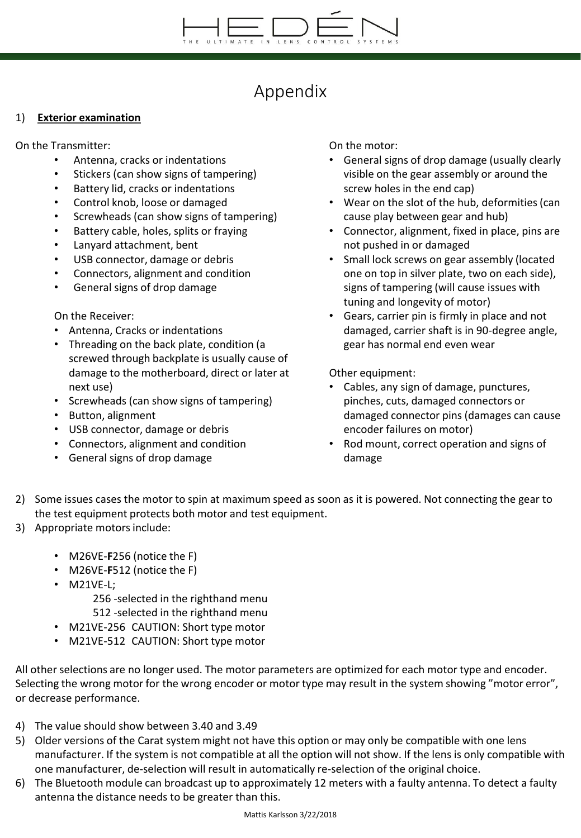## Appendix

### 1) **Exterior examination**

On the Transmitter:

- Antenna, cracks or indentations
- Stickers (can show signs of tampering)
- Battery lid, cracks or indentations
- Control knob, loose or damaged
- Screwheads (can show signs of tampering)
- Battery cable, holes, splits or fraying
- Lanyard attachment, bent
- USB connector, damage or debris
- Connectors, alignment and condition
- General signs of drop damage

On the Receiver:

- Antenna, Cracks or indentations
- Threading on the back plate, condition (a screwed through backplate is usually cause of damage to the motherboard, direct or later at next use)
- Screwheads (can show signs of tampering)
- Button, alignment
- USB connector, damage or debris
- Connectors, alignment and condition
- General signs of drop damage

On the motor:

- General signs of drop damage (usually clearly visible on the gear assembly or around the screw holes in the end cap)
- Wear on the slot of the hub, deformities (can cause play between gear and hub)
- Connector, alignment, fixed in place, pins are not pushed in or damaged
- Small lock screws on gear assembly (located one on top in silver plate, two on each side), signs of tampering (will cause issues with tuning and longevity of motor)
- Gears, carrier pin is firmly in place and not damaged, carrier shaft is in 90-degree angle, gear has normal end even wear

Other equipment:

- Cables, any sign of damage, punctures, pinches, cuts, damaged connectors or damaged connector pins (damages can cause encoder failures on motor)
- Rod mount, correct operation and signs of damage
- 2) Some issues cases the motor to spin at maximum speed as soon as it is powered. Not connecting the gear to the test equipment protects both motor and test equipment.
- 3) Appropriate motors include:
	- M26VE-**F**256 (notice the F)
	- M26VE-**F**512 (notice the F)
	- M21VE-L;

256 -selected in the righthand menu

- 512 -selected in the righthand menu
- M21VE-256 CAUTION: Short type motor
- M21VE-512 CAUTION: Short type motor

All other selections are no longer used. The motor parameters are optimized for each motor type and encoder. Selecting the wrong motor for the wrong encoder or motor type may result in the system showing "motor error", or decrease performance.

- 4) The value should show between 3.40 and 3.49
- 5) Older versions of the Carat system might not have this option or may only be compatible with one lens manufacturer. If the system is not compatible at all the option will not show. If the lens is only compatible with one manufacturer, de-selection will result in automatically re-selection of the original choice.
- 6) The Bluetooth module can broadcast up to approximately 12 meters with a faulty antenna. To detect a faulty antenna the distance needs to be greater than this.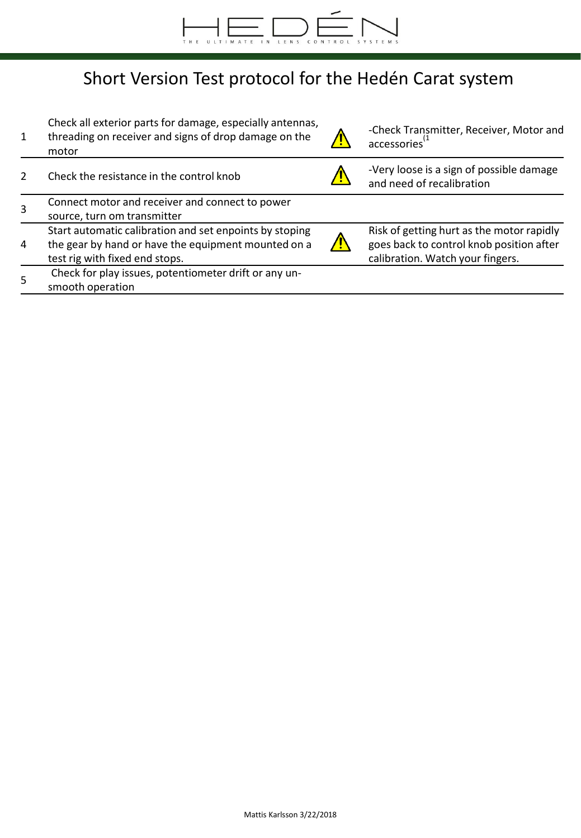

# Short Version Test protocol for the Hedén Carat system

| 1              | Check all exterior parts for damage, especially antennas,<br>threading on receiver and signs of drop damage on the<br>motor                      | -Check Transmitter, Receiver, Motor and<br>accessories <sup>(1</sup>                                                      |
|----------------|--------------------------------------------------------------------------------------------------------------------------------------------------|---------------------------------------------------------------------------------------------------------------------------|
|                | Check the resistance in the control knob                                                                                                         | -Very loose is a sign of possible damage<br>and need of recalibration                                                     |
|                | Connect motor and receiver and connect to power<br>source, turn om transmitter                                                                   |                                                                                                                           |
| $\overline{a}$ | Start automatic calibration and set enpoints by stoping<br>the gear by hand or have the equipment mounted on a<br>test rig with fixed end stops. | Risk of getting hurt as the motor rapidly<br>goes back to control knob position after<br>calibration. Watch your fingers. |
| 5              | Check for play issues, potentiometer drift or any un-<br>smooth operation                                                                        |                                                                                                                           |